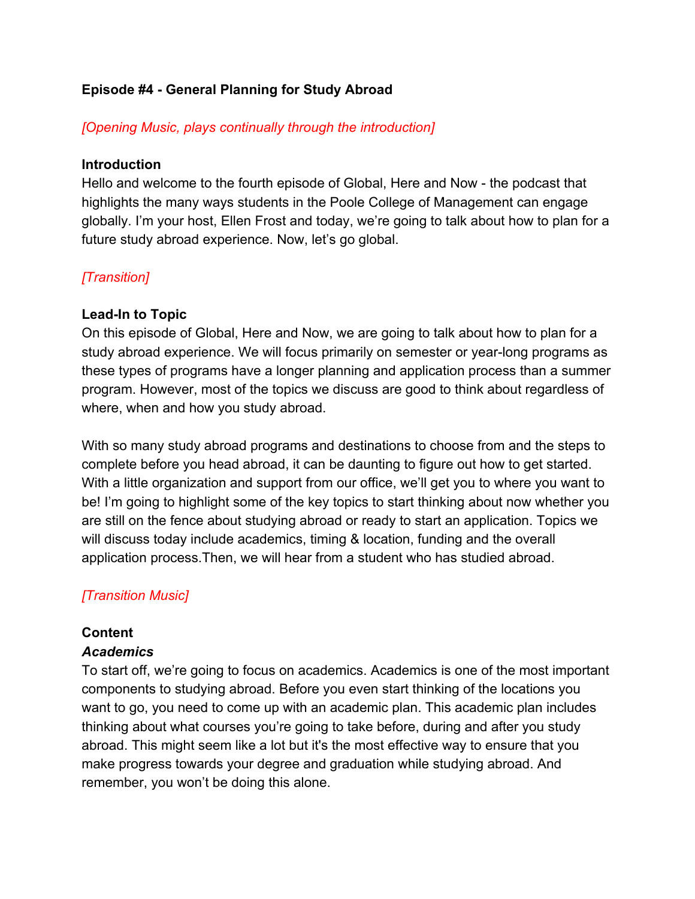### **Episode #4 - General Planning for Study Abroad**

### *[Opening Music, plays continually through the introduction]*

### **Introduction**

Hello and welcome to the fourth episode of Global, Here and Now - the podcast that highlights the many ways students in the Poole College of Management can engage globally. I'm your host, Ellen Frost and today, we're going to talk about how to plan for a future study abroad experience. Now, let's go global.

# *[Transition]*

### **Lead-In to Topic**

On this episode of Global, Here and Now, we are going to talk about how to plan for a study abroad experience. We will focus primarily on semester or year-long programs as these types of programs have a longer planning and application process than a summer program. However, most of the topics we discuss are good to think about regardless of where, when and how you study abroad.

With so many study abroad programs and destinations to choose from and the steps to complete before you head abroad, it can be daunting to figure out how to get started. With a little organization and support from our office, we'll get you to where you want to be! I'm going to highlight some of the key topics to start thinking about now whether you are still on the fence about studying abroad or ready to start an application. Topics we will discuss today include academics, timing & location, funding and the overall application process.Then, we will hear from a student who has studied abroad.

# *[Transition Music]*

# **Content**

### *Academics*

To start off, we're going to focus on academics. Academics is one of the most important components to studying abroad. Before you even start thinking of the locations you want to go, you need to come up with an academic plan. This academic plan includes thinking about what courses you're going to take before, during and after you study abroad. This might seem like a lot but it's the most effective way to ensure that you make progress towards your degree and graduation while studying abroad. And remember, you won't be doing this alone.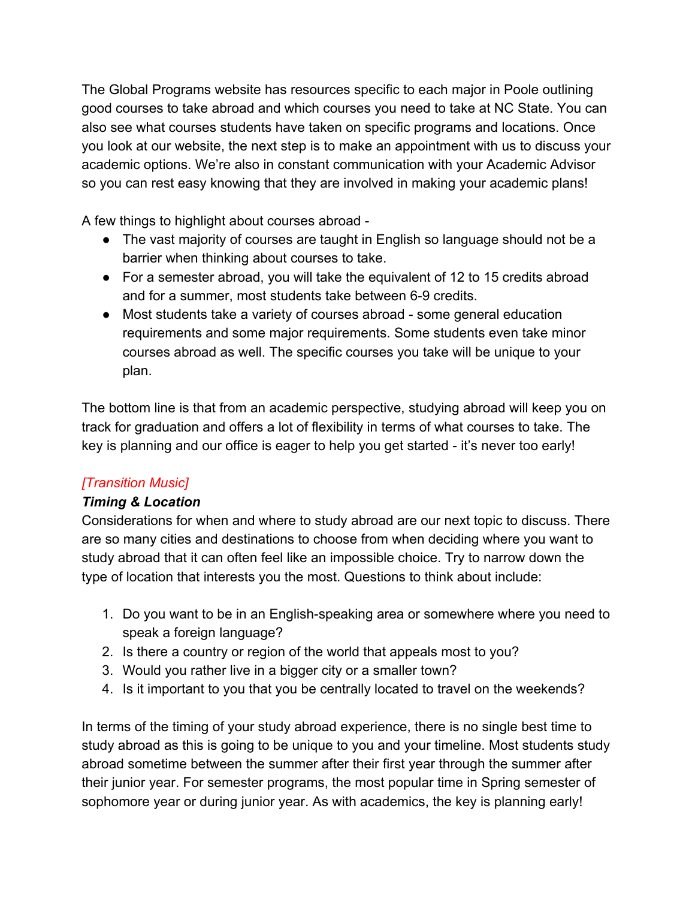The Global Programs website has resources specific to each major in Poole outlining good courses to take abroad and which courses you need to take at NC State. You can also see what courses students have taken on specific programs and locations. Once you look at our website, the next step is to make an appointment with us to discuss your academic options. We're also in constant communication with your Academic Advisor so you can rest easy knowing that they are involved in making your academic plans!

A few things to highlight about courses abroad -

- The vast majority of courses are taught in English so language should not be a barrier when thinking about courses to take.
- For a semester abroad, you will take the equivalent of 12 to 15 credits abroad and for a summer, most students take between 6-9 credits.
- Most students take a variety of courses abroad some general education requirements and some major requirements. Some students even take minor courses abroad as well. The specific courses you take will be unique to your plan.

The bottom line is that from an academic perspective, studying abroad will keep you on track for graduation and offers a lot of flexibility in terms of what courses to take. The key is planning and our office is eager to help you get started - it's never too early!

# *[Transition Music]*

# *Timing & Location*

Considerations for when and where to study abroad are our next topic to discuss. There are so many cities and destinations to choose from when deciding where you want to study abroad that it can often feel like an impossible choice. Try to narrow down the type of location that interests you the most. Questions to think about include:

- 1. Do you want to be in an English-speaking area or somewhere where you need to speak a foreign language?
- 2. Is there a country or region of the world that appeals most to you?
- 3. Would you rather live in a bigger city or a smaller town?
- 4. Is it important to you that you be centrally located to travel on the weekends?

In terms of the timing of your study abroad experience, there is no single best time to study abroad as this is going to be unique to you and your timeline. Most students study abroad sometime between the summer after their first year through the summer after their junior year. For semester programs, the most popular time in Spring semester of sophomore year or during junior year. As with academics, the key is planning early!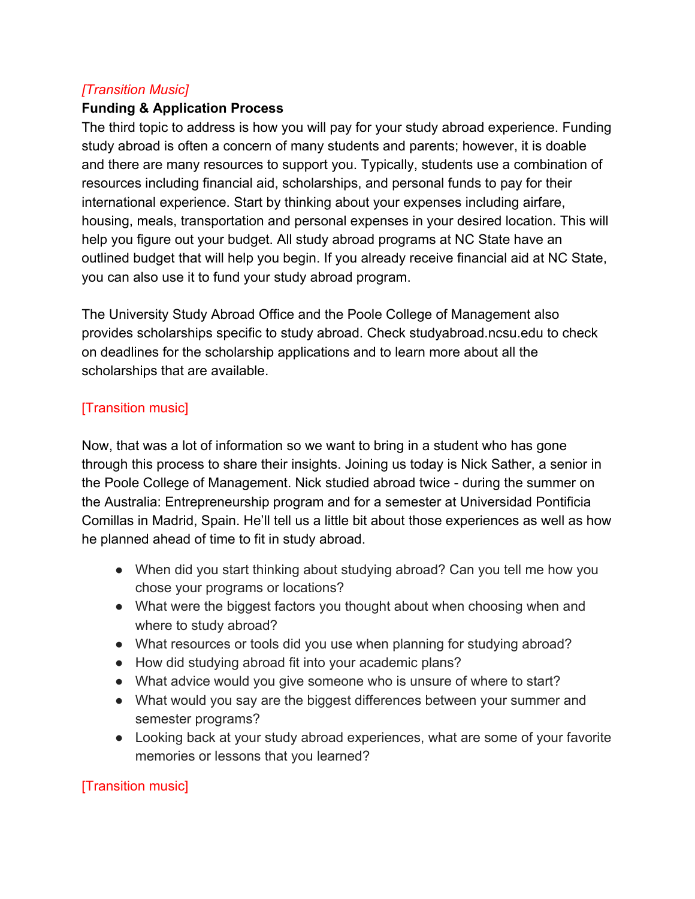## *[Transition Music]*

### **Funding & Application Process**

The third topic to address is how you will pay for your study abroad experience. Funding study abroad is often a concern of many students and parents; however, it is doable and there are many resources to support you. Typically, students use a combination of resources including financial aid, scholarships, and personal funds to pay for their international experience. Start by thinking about your expenses including airfare, housing, meals, transportation and personal expenses in your desired location. This will help you figure out your budget. All study abroad programs at NC State have an outlined budget that will help you begin. If you already receive financial aid at NC State, you can also use it to fund your study abroad program.

The University Study Abroad Office and the Poole College of Management also provides scholarships specific to study abroad. Check studyabroad.ncsu.edu to check on deadlines for the scholarship applications and to learn more about all the scholarships that are available.

# [Transition music]

Now, that was a lot of information so we want to bring in a student who has gone through this process to share their insights. Joining us today is Nick Sather, a senior in the Poole College of Management. Nick studied abroad twice - during the summer on the Australia: Entrepreneurship program and for a semester at Universidad Pontificia Comillas in Madrid, Spain. He'll tell us a little bit about those experiences as well as how he planned ahead of time to fit in study abroad.

- When did you start thinking about studying abroad? Can you tell me how you chose your programs or locations?
- What were the biggest factors you thought about when choosing when and where to study abroad?
- What resources or tools did you use when planning for studying abroad?
- How did studying abroad fit into your academic plans?
- What advice would you give someone who is unsure of where to start?
- What would you say are the biggest differences between your summer and semester programs?
- Looking back at your study abroad experiences, what are some of your favorite memories or lessons that you learned?

# [Transition music]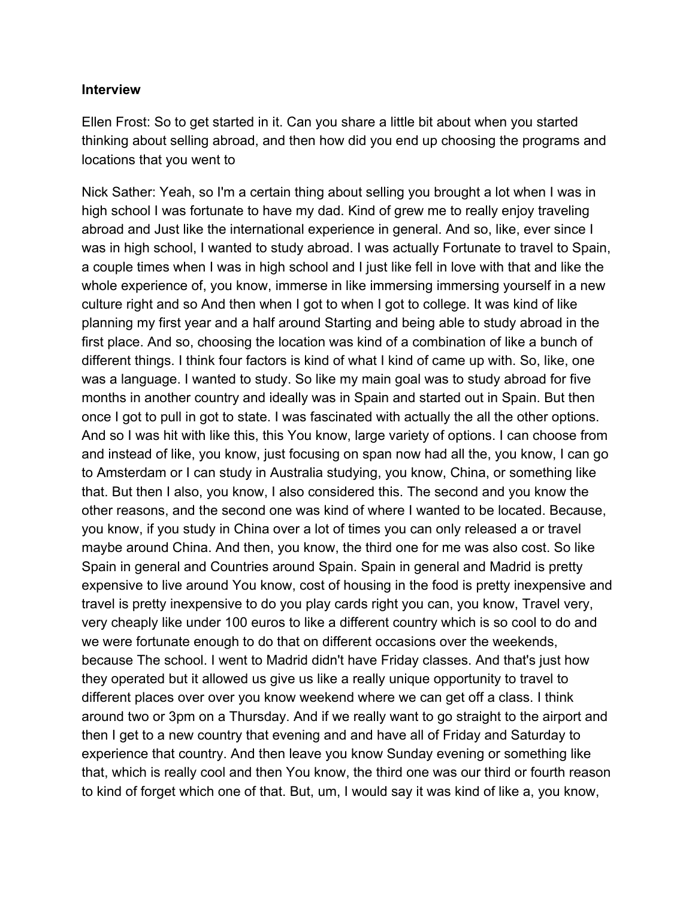#### **Interview**

Ellen Frost: So to get started in it. Can you share a little bit about when you started thinking about selling abroad, and then how did you end up choosing the programs and locations that you went to

Nick Sather: Yeah, so I'm a certain thing about selling you brought a lot when I was in high school I was fortunate to have my dad. Kind of grew me to really enjoy traveling abroad and Just like the international experience in general. And so, like, ever since I was in high school, I wanted to study abroad. I was actually Fortunate to travel to Spain, a couple times when I was in high school and I just like fell in love with that and like the whole experience of, you know, immerse in like immersing immersing yourself in a new culture right and so And then when I got to when I got to college. It was kind of like planning my first year and a half around Starting and being able to study abroad in the first place. And so, choosing the location was kind of a combination of like a bunch of different things. I think four factors is kind of what I kind of came up with. So, like, one was a language. I wanted to study. So like my main goal was to study abroad for five months in another country and ideally was in Spain and started out in Spain. But then once I got to pull in got to state. I was fascinated with actually the all the other options. And so I was hit with like this, this You know, large variety of options. I can choose from and instead of like, you know, just focusing on span now had all the, you know, I can go to Amsterdam or I can study in Australia studying, you know, China, or something like that. But then I also, you know, I also considered this. The second and you know the other reasons, and the second one was kind of where I wanted to be located. Because, you know, if you study in China over a lot of times you can only released a or travel maybe around China. And then, you know, the third one for me was also cost. So like Spain in general and Countries around Spain. Spain in general and Madrid is pretty expensive to live around You know, cost of housing in the food is pretty inexpensive and travel is pretty inexpensive to do you play cards right you can, you know, Travel very, very cheaply like under 100 euros to like a different country which is so cool to do and we were fortunate enough to do that on different occasions over the weekends, because The school. I went to Madrid didn't have Friday classes. And that's just how they operated but it allowed us give us like a really unique opportunity to travel to different places over over you know weekend where we can get off a class. I think around two or 3pm on a Thursday. And if we really want to go straight to the airport and then I get to a new country that evening and and have all of Friday and Saturday to experience that country. And then leave you know Sunday evening or something like that, which is really cool and then You know, the third one was our third or fourth reason to kind of forget which one of that. But, um, I would say it was kind of like a, you know,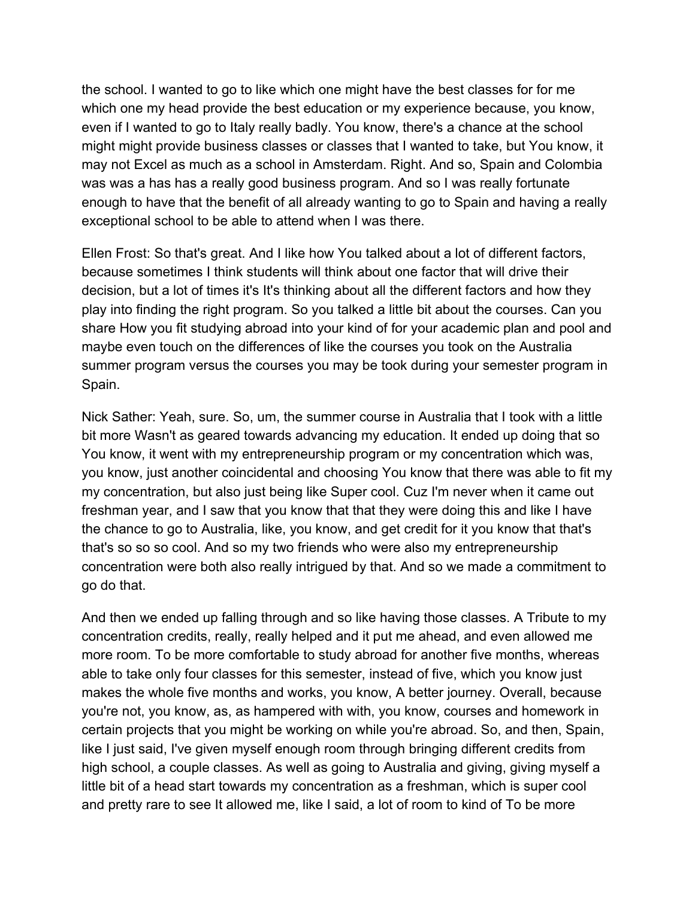the school. I wanted to go to like which one might have the best classes for for me which one my head provide the best education or my experience because, you know, even if I wanted to go to Italy really badly. You know, there's a chance at the school might might provide business classes or classes that I wanted to take, but You know, it may not Excel as much as a school in Amsterdam. Right. And so, Spain and Colombia was was a has has a really good business program. And so I was really fortunate enough to have that the benefit of all already wanting to go to Spain and having a really exceptional school to be able to attend when I was there.

Ellen Frost: So that's great. And I like how You talked about a lot of different factors, because sometimes I think students will think about one factor that will drive their decision, but a lot of times it's It's thinking about all the different factors and how they play into finding the right program. So you talked a little bit about the courses. Can you share How you fit studying abroad into your kind of for your academic plan and pool and maybe even touch on the differences of like the courses you took on the Australia summer program versus the courses you may be took during your semester program in Spain.

Nick Sather: Yeah, sure. So, um, the summer course in Australia that I took with a little bit more Wasn't as geared towards advancing my education. It ended up doing that so You know, it went with my entrepreneurship program or my concentration which was, you know, just another coincidental and choosing You know that there was able to fit my my concentration, but also just being like Super cool. Cuz I'm never when it came out freshman year, and I saw that you know that that they were doing this and like I have the chance to go to Australia, like, you know, and get credit for it you know that that's that's so so so cool. And so my two friends who were also my entrepreneurship concentration were both also really intrigued by that. And so we made a commitment to go do that.

And then we ended up falling through and so like having those classes. A Tribute to my concentration credits, really, really helped and it put me ahead, and even allowed me more room. To be more comfortable to study abroad for another five months, whereas able to take only four classes for this semester, instead of five, which you know just makes the whole five months and works, you know, A better journey. Overall, because you're not, you know, as, as hampered with with, you know, courses and homework in certain projects that you might be working on while you're abroad. So, and then, Spain, like I just said, I've given myself enough room through bringing different credits from high school, a couple classes. As well as going to Australia and giving, giving myself a little bit of a head start towards my concentration as a freshman, which is super cool and pretty rare to see It allowed me, like I said, a lot of room to kind of To be more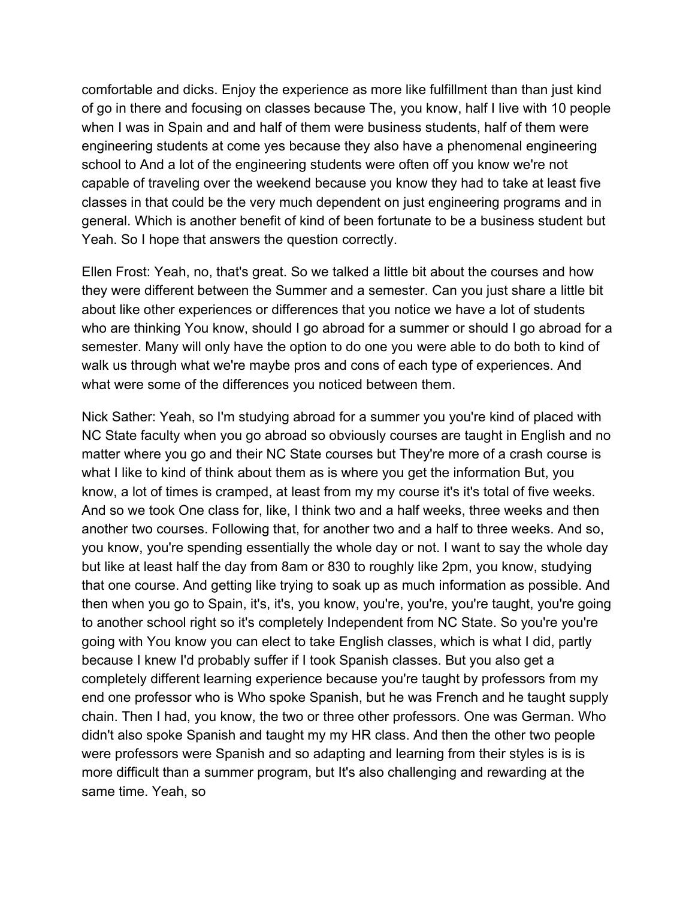comfortable and dicks. Enjoy the experience as more like fulfillment than than just kind of go in there and focusing on classes because The, you know, half I live with 10 people when I was in Spain and and half of them were business students, half of them were engineering students at come yes because they also have a phenomenal engineering school to And a lot of the engineering students were often off you know we're not capable of traveling over the weekend because you know they had to take at least five classes in that could be the very much dependent on just engineering programs and in general. Which is another benefit of kind of been fortunate to be a business student but Yeah. So I hope that answers the question correctly.

Ellen Frost: Yeah, no, that's great. So we talked a little bit about the courses and how they were different between the Summer and a semester. Can you just share a little bit about like other experiences or differences that you notice we have a lot of students who are thinking You know, should I go abroad for a summer or should I go abroad for a semester. Many will only have the option to do one you were able to do both to kind of walk us through what we're maybe pros and cons of each type of experiences. And what were some of the differences you noticed between them.

Nick Sather: Yeah, so I'm studying abroad for a summer you you're kind of placed with NC State faculty when you go abroad so obviously courses are taught in English and no matter where you go and their NC State courses but They're more of a crash course is what I like to kind of think about them as is where you get the information But, you know, a lot of times is cramped, at least from my my course it's it's total of five weeks. And so we took One class for, like, I think two and a half weeks, three weeks and then another two courses. Following that, for another two and a half to three weeks. And so, you know, you're spending essentially the whole day or not. I want to say the whole day but like at least half the day from 8am or 830 to roughly like 2pm, you know, studying that one course. And getting like trying to soak up as much information as possible. And then when you go to Spain, it's, it's, you know, you're, you're, you're taught, you're going to another school right so it's completely Independent from NC State. So you're you're going with You know you can elect to take English classes, which is what I did, partly because I knew I'd probably suffer if I took Spanish classes. But you also get a completely different learning experience because you're taught by professors from my end one professor who is Who spoke Spanish, but he was French and he taught supply chain. Then I had, you know, the two or three other professors. One was German. Who didn't also spoke Spanish and taught my my HR class. And then the other two people were professors were Spanish and so adapting and learning from their styles is is is more difficult than a summer program, but It's also challenging and rewarding at the same time. Yeah, so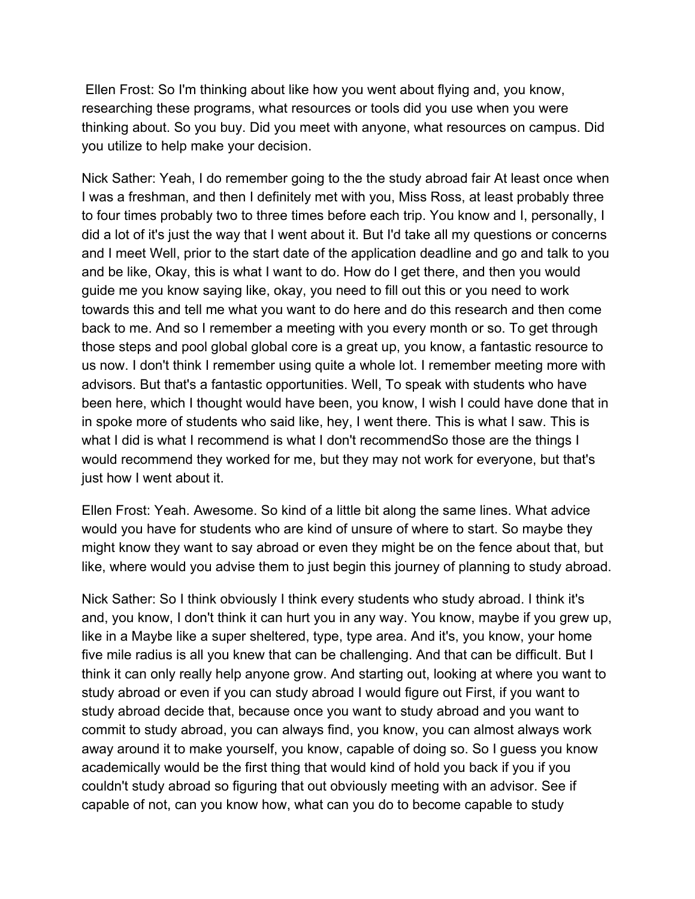Ellen Frost: So I'm thinking about like how you went about flying and, you know, researching these programs, what resources or tools did you use when you were thinking about. So you buy. Did you meet with anyone, what resources on campus. Did you utilize to help make your decision.

Nick Sather: Yeah, I do remember going to the the study abroad fair At least once when I was a freshman, and then I definitely met with you, Miss Ross, at least probably three to four times probably two to three times before each trip. You know and I, personally, I did a lot of it's just the way that I went about it. But I'd take all my questions or concerns and I meet Well, prior to the start date of the application deadline and go and talk to you and be like, Okay, this is what I want to do. How do I get there, and then you would guide me you know saying like, okay, you need to fill out this or you need to work towards this and tell me what you want to do here and do this research and then come back to me. And so I remember a meeting with you every month or so. To get through those steps and pool global global core is a great up, you know, a fantastic resource to us now. I don't think I remember using quite a whole lot. I remember meeting more with advisors. But that's a fantastic opportunities. Well, To speak with students who have been here, which I thought would have been, you know, I wish I could have done that in in spoke more of students who said like, hey, I went there. This is what I saw. This is what I did is what I recommend is what I don't recommendSo those are the things I would recommend they worked for me, but they may not work for everyone, but that's just how I went about it.

Ellen Frost: Yeah. Awesome. So kind of a little bit along the same lines. What advice would you have for students who are kind of unsure of where to start. So maybe they might know they want to say abroad or even they might be on the fence about that, but like, where would you advise them to just begin this journey of planning to study abroad.

Nick Sather: So I think obviously I think every students who study abroad. I think it's and, you know, I don't think it can hurt you in any way. You know, maybe if you grew up, like in a Maybe like a super sheltered, type, type area. And it's, you know, your home five mile radius is all you knew that can be challenging. And that can be difficult. But I think it can only really help anyone grow. And starting out, looking at where you want to study abroad or even if you can study abroad I would figure out First, if you want to study abroad decide that, because once you want to study abroad and you want to commit to study abroad, you can always find, you know, you can almost always work away around it to make yourself, you know, capable of doing so. So I guess you know academically would be the first thing that would kind of hold you back if you if you couldn't study abroad so figuring that out obviously meeting with an advisor. See if capable of not, can you know how, what can you do to become capable to study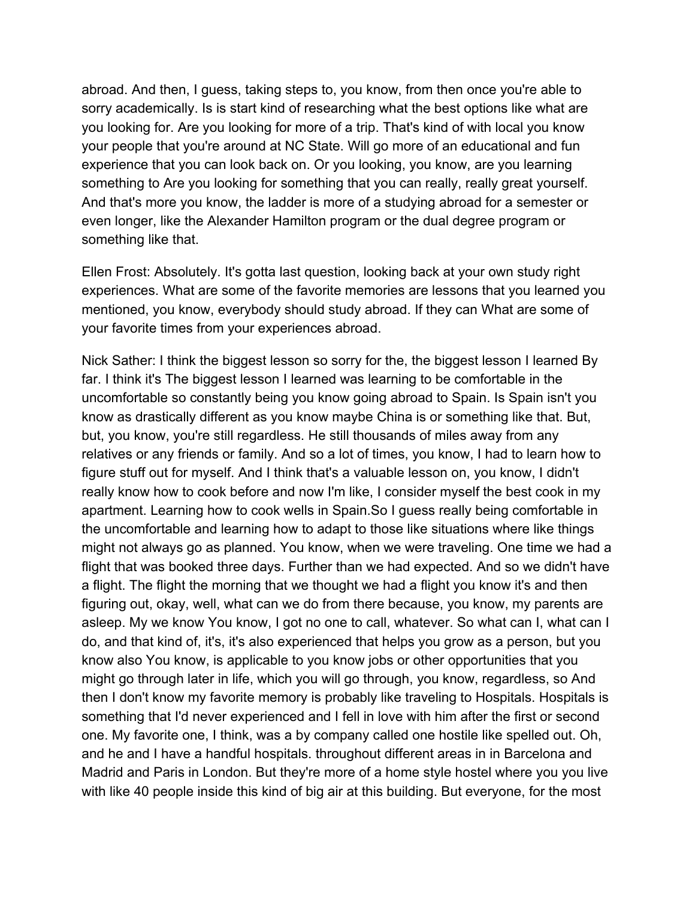abroad. And then, I guess, taking steps to, you know, from then once you're able to sorry academically. Is is start kind of researching what the best options like what are you looking for. Are you looking for more of a trip. That's kind of with local you know your people that you're around at NC State. Will go more of an educational and fun experience that you can look back on. Or you looking, you know, are you learning something to Are you looking for something that you can really, really great yourself. And that's more you know, the ladder is more of a studying abroad for a semester or even longer, like the Alexander Hamilton program or the dual degree program or something like that.

Ellen Frost: Absolutely. It's gotta last question, looking back at your own study right experiences. What are some of the favorite memories are lessons that you learned you mentioned, you know, everybody should study abroad. If they can What are some of your favorite times from your experiences abroad.

Nick Sather: I think the biggest lesson so sorry for the, the biggest lesson I learned By far. I think it's The biggest lesson I learned was learning to be comfortable in the uncomfortable so constantly being you know going abroad to Spain. Is Spain isn't you know as drastically different as you know maybe China is or something like that. But, but, you know, you're still regardless. He still thousands of miles away from any relatives or any friends or family. And so a lot of times, you know, I had to learn how to figure stuff out for myself. And I think that's a valuable lesson on, you know, I didn't really know how to cook before and now I'm like, I consider myself the best cook in my apartment. Learning how to cook wells in Spain.So I guess really being comfortable in the uncomfortable and learning how to adapt to those like situations where like things might not always go as planned. You know, when we were traveling. One time we had a flight that was booked three days. Further than we had expected. And so we didn't have a flight. The flight the morning that we thought we had a flight you know it's and then figuring out, okay, well, what can we do from there because, you know, my parents are asleep. My we know You know, I got no one to call, whatever. So what can I, what can I do, and that kind of, it's, it's also experienced that helps you grow as a person, but you know also You know, is applicable to you know jobs or other opportunities that you might go through later in life, which you will go through, you know, regardless, so And then I don't know my favorite memory is probably like traveling to Hospitals. Hospitals is something that I'd never experienced and I fell in love with him after the first or second one. My favorite one, I think, was a by company called one hostile like spelled out. Oh, and he and I have a handful hospitals. throughout different areas in in Barcelona and Madrid and Paris in London. But they're more of a home style hostel where you you live with like 40 people inside this kind of big air at this building. But everyone, for the most